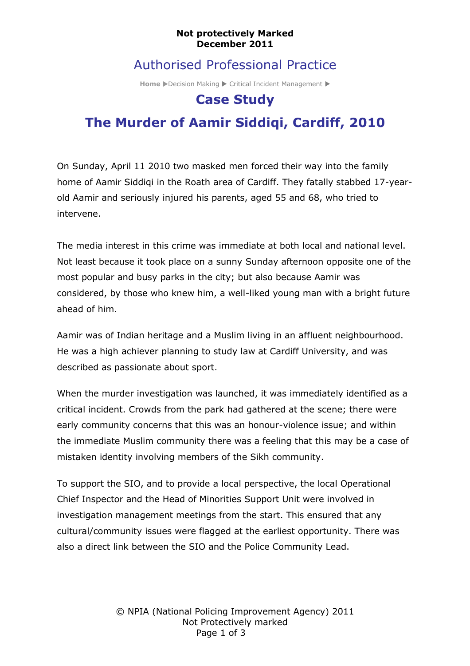#### **Not protectively Marked December 2011**

## Authorised Professional Practice

**Home** Decision Making D Critical Incident Management D

## **Case Study**

# **The Murder of Aamir Siddiqi, Cardiff, 2010**

On Sunday, April 11 2010 two masked men forced their way into the family home of Aamir Siddiqi in the Roath area of Cardiff. They fatally stabbed 17-yearold Aamir and seriously injured his parents, aged 55 and 68, who tried to intervene.

The media interest in this crime was immediate at both local and national level. Not least because it took place on a sunny Sunday afternoon opposite one of the most popular and busy parks in the city; but also because Aamir was considered, by those who knew him, a well-liked young man with a bright future ahead of him.

Aamir was of Indian heritage and a Muslim living in an affluent neighbourhood. He was a high achiever planning to study law at Cardiff University, and was described as passionate about sport.

When the murder investigation was launched, it was immediately identified as a critical incident. Crowds from the park had gathered at the scene; there were early community concerns that this was an honour-violence issue; and within the immediate Muslim community there was a feeling that this may be a case of mistaken identity involving members of the Sikh community.

To support the SIO, and to provide a local perspective, the local Operational Chief Inspector and the Head of Minorities Support Unit were involved in investigation management meetings from the start. This ensured that any cultural/community issues were flagged at the earliest opportunity. There was also a direct link between the SIO and the Police Community Lead.

> © NPIA (National Policing Improvement Agency) 2011 Not Protectively marked Page 1 of 3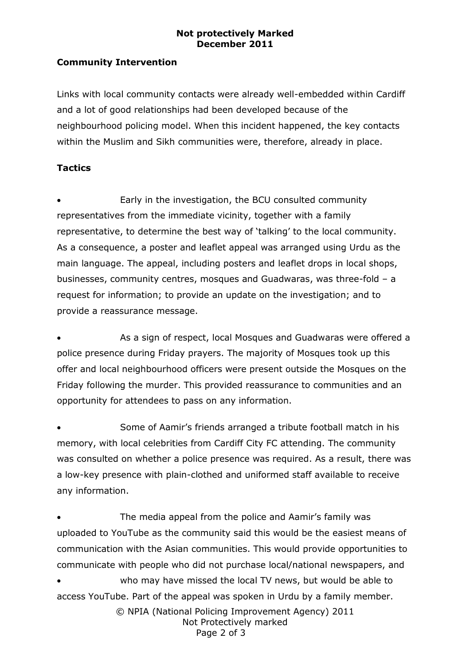#### **Not protectively Marked December 2011**

### **Community Intervention**

Links with local community contacts were already well-embedded within Cardiff and a lot of good relationships had been developed because of the neighbourhood policing model. When this incident happened, the key contacts within the Muslim and Sikh communities were, therefore, already in place.

### **Tactics**

 Early in the investigation, the BCU consulted community representatives from the immediate vicinity, together with a family representative, to determine the best way of 'talking' to the local community. As a consequence, a poster and leaflet appeal was arranged using Urdu as the main language. The appeal, including posters and leaflet drops in local shops, businesses, community centres, mosques and Guadwaras, was three-fold – a request for information; to provide an update on the investigation; and to provide a reassurance message.

 As a sign of respect, local Mosques and Guadwaras were offered a police presence during Friday prayers. The majority of Mosques took up this offer and local neighbourhood officers were present outside the Mosques on the Friday following the murder. This provided reassurance to communities and an opportunity for attendees to pass on any information.

 Some of Aamir's friends arranged a tribute football match in his memory, with local celebrities from Cardiff City FC attending. The community was consulted on whether a police presence was required. As a result, there was a low-key presence with plain-clothed and uniformed staff available to receive any information.

© NPIA (National Policing Improvement Agency) 2011 Not Protectively marked The media appeal from the police and Aamir's family was uploaded to YouTube as the community said this would be the easiest means of communication with the Asian communities. This would provide opportunities to communicate with people who did not purchase local/national newspapers, and who may have missed the local TV news, but would be able to access YouTube. Part of the appeal was spoken in Urdu by a family member.

Page 2 of 3